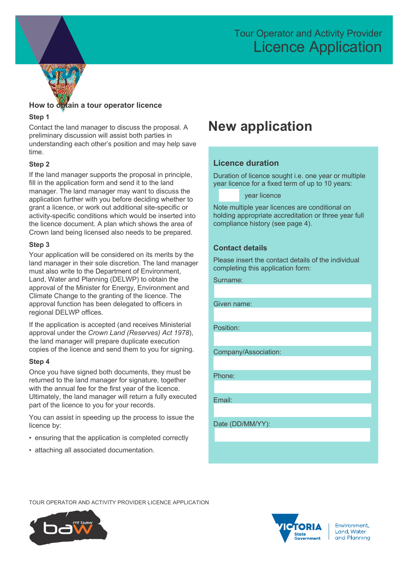## Tour Operator and Activity Provider Licence Application



## **How to obtain a tour operator licence**

### **Step 1**

Contact the land manager to discuss the proposal. A preliminary discussion will assist both parties in understanding each other's position and may help save time.

## **Step 2**

If the land manager supports the proposal in principle, fill in the application form and send it to the land manager. The land manager may want to discuss the application further with you before deciding whether to grant a licence, or work out additional site-specific or activity-specific conditions which would be inserted into the licence document. A plan which shows the area of Crown land being licensed also needs to be prepared.

### **Step 3**

Your application will be considered on its merits by the land manager in their sole discretion. The land manager must also write to the Department of Environment, Land, Water and Planning (DELWP) to obtain the approval of the Minister for Energy, Environment and Climate Change to the granting of the licence. The approval function has been delegated to officers in regional DELWP offices.

If the application is accepted (and receives Ministerial approval under the *Crown Land (Reserves) Act 1978*), the land manager will prepare duplicate execution copies of the licence and send them to you for signing.

### **Step 4**

Once you have signed both documents, they must be returned to the land manager for signature, together with the annual fee for the first year of the licence. Ultimately, the land manager will return a fully executed part of the licence to you for your records.

You can assist in speeding up the process to issue the licence by:

- ensuring that the application is completed correctly
- attaching all associated documentation.

## **New application**

## **Licence duration**

Duration of licence sought i.e. one year or multiple year licence for a fixed term of up to 10 years:

year licence

Note multiple year licences are conditional on holding appropriate accreditation or three year full compliance history (see page 4).

## **Contact details**

Please insert the contact details of the individual completing this application form:

Surname:

Given name:

Position:

Company/Association:

Phone:

Email:

Date (DD/MM/YY):

TOUR OPERATOR AND ACTIVITY PROVIDER LICENCE APPLICATION





Environment, **Land Water** and Planning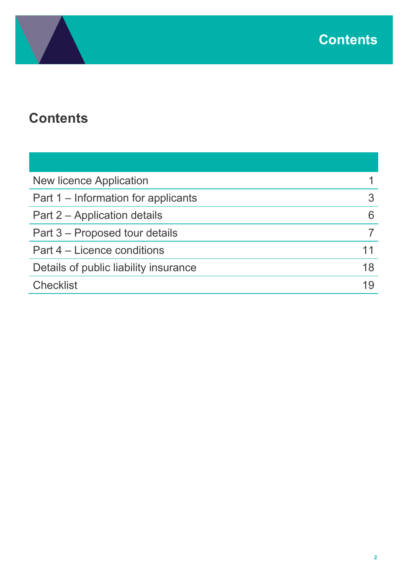

# **Contents**

| <b>New licence Application</b>        |    |
|---------------------------------------|----|
| Part 1 – Information for applicants   |    |
| Part 2 – Application details          |    |
| Part 3 – Proposed tour details        |    |
| Part 4 – Licence conditions           | 11 |
| Details of public liability insurance | 18 |
| <b>Checklist</b>                      |    |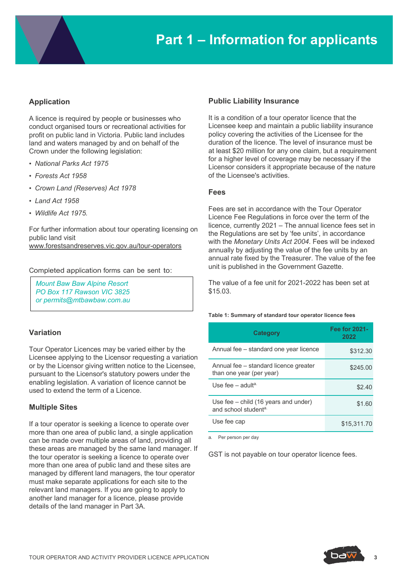

## **Application**

A licence is required by people or businesses who conduct organised tours or recreational activities for profit on public land in Victoria. Public land includes land and waters managed by and on behalf of the Crown under the following legislation:

- *National Parks Act 1975*
- *Forests Act 1958*
- *Crown Land (Reserves) Act 1978*
- *Land Act 1958*
- *Wildlife Act 1975.*

For further information about tour operating licensing on public land visit

www.forestsandreserves.vic.gov.au/tour-operators

Completed application forms can be sent to:

*Mount Baw Baw Alpine Resort PO Box 117 Rawson VIC 3825 or permits@mtbawbaw.com.au*

### **Variation**

Tour Operator Licences may be varied either by the Licensee applying to the Licensor requesting a variation or by the Licensor giving written notice to the Licensee, pursuant to the Licensor's statutory powers under the enabling legislation. A variation of licence cannot be used to extend the term of a Licence.

### **Multiple Sites**

If a tour operator is seeking a licence to operate over more than one area of public land, a single application can be made over multiple areas of land, providing all these areas are managed by the same land manager. If the tour operator is seeking a licence to operate over more than one area of public land and these sites are managed by different land managers, the tour operator must make separate applications for each site to the relevant land managers. If you are going to apply to another land manager for a licence, please provide details of the land manager in Part 3A.

### **Public Liability Insurance**

It is a condition of a tour operator licence that the Licensee keep and maintain a public liability insurance policy covering the activities of the Licensee for the duration of the licence. The level of insurance must be at least \$20 million for any one claim, but a requirement for a higher level of coverage may be necessary if the Licensor considers it appropriate because of the nature of the Licensee's activities.

### **Fees**

Fees are set in accordance with the Tour Operator Licence Fee Regulations in force over the term of the licence, currently 2021 – The annual licence fees set in the Regulations are set by 'fee units', in accordance with the *Monetary Units Act 2004*. Fees will be indexed annually by adjusting the value of the fee units by an annual rate fixed by the Treasurer. The value of the fee unit is published in the Government Gazette.

The value of a fee unit for 2021-2022 has been set at \$15.03.

#### **Table 1: Summary of standard tour operator licence fees**

| <b>Category</b>                                                   | <b>Fee for 2021-</b><br>2022 |
|-------------------------------------------------------------------|------------------------------|
| Annual fee – standard one year licence                            | \$312.30                     |
| Annual fee – standard licence greater<br>than one year (per year) | \$245.00                     |
| Use fee $-$ adulta.                                               | \$2.40                       |
| Use fee - child (16 years and under)<br>and school studenta.      | \$1.60                       |
| Use fee cap                                                       | \$15,311.70                  |

a. Per person per day

GST is not payable on tour operator licence fees.

**3**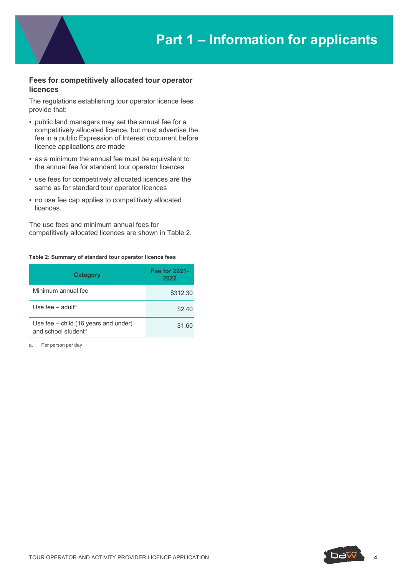## **Fees for competitively allocated tour operator licences**

The regulations establishing tour operator licence fees provide that:

- public land managers may set the annual fee for a competitively allocated licence, but must advertise the fee in a public Expression of Interest document before licence applications are made
- as a minimum the annual fee must be equivalent to the annual fee for standard tour operator licences
- use fees for competitively allocated licences are the same as for standard tour operator licences
- no use fee cap applies to competitively allocated **licences**

The use fees and minimum annual fees for competitively allocated licences are shown in Table 2.

#### **Table 2: Summary of standard tour operator licence fees**

| <b>Category</b>                                                            | <b>Fee for 2021-</b><br>2022 |
|----------------------------------------------------------------------------|------------------------------|
| Minimum annual fee                                                         | \$312.30                     |
| Use fee – adult <sup>a.</sup>                                              | \$2.40                       |
| Use fee $-$ child (16 years and under)<br>and school student <sup>a.</sup> | \$1.60                       |

a. Per person per day



**4**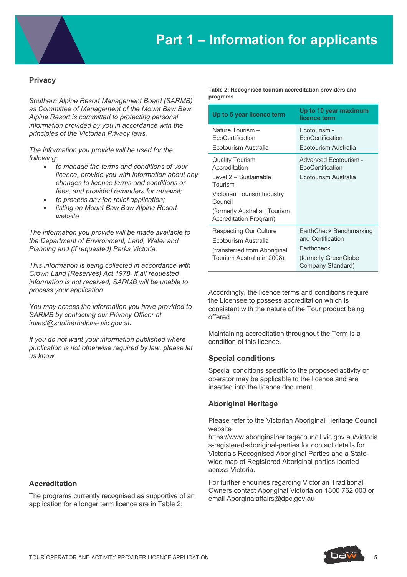## **Privacy**

*Southern Alpine Resort Management Board (SARMB) as Committee of Management of the Mount Baw Baw Alpine Resort is committed to protecting personal information provided by you in accordance with the principles of the Victorian Privacy laws.* 

*The information you provide will be used for the following:*

- *to manage the terms and conditions of your licence, provide you with information about any changes to licence terms and conditions or fees, and provided reminders for renewal;*
- *to process any fee relief application;*
- *listing on Mount Baw Baw Alpine Resort website.*

*The information you provide will be made available to the Department of Environment, Land, Water and Planning and (if requested) Parks Victoria.*

*This information is being collected in accordance with Crown Land (Reserves) Act 1978. If all requested information is not received, SARMB will be unable to process your application.* 

*You may access the information you have provided to SARMB by contacting our Privacy Officer at invest@southernalpine.vic.gov.au*

*If you do not want your information published where publication is not otherwise required by law, please let us know.* 

## **Accreditation**

The programs currently recognised as supportive of an application for a longer term licence are in Table 2:

**Table 2: Recognised tourism accreditation providers and programs**

| Up to 5 year licence term                                                                                                                                                      | Up to 10 year maximum<br>licence term                                                                          |
|--------------------------------------------------------------------------------------------------------------------------------------------------------------------------------|----------------------------------------------------------------------------------------------------------------|
| Nature Tourism -<br>EcoCertification<br>Ecotourism Australia                                                                                                                   | Ecotourism -<br>EcoCertification<br>Ecotourism Australia                                                       |
| <b>Quality Tourism</b><br>Accreditation<br>Level 2 - Sustainable<br>Tourism<br>Victorian Tourism Industry<br>Council<br>(formerly Australian Tourism<br>Accreditation Program) | Advanced Ecotourism -<br>EcoCertification<br>Ecotourism Australia                                              |
| Respecting Our Culture<br>Ecotourism Australia<br>(transferred from Aboriginal<br>Tourism Australia in 2008)                                                                   | EarthCheck Benchmarking<br>and Certification<br><b>Earthcheck</b><br>(formerly GreenGlobe<br>Company Standard) |

Accordingly, the licence terms and conditions require the Licensee to possess accreditation which is consistent with the nature of the Tour product being offered.

Maintaining accreditation throughout the Term is a condition of this licence.

### **Special conditions**

Special conditions specific to the proposed activity or operator may be applicable to the licence and are inserted into the licence document.

### **Aboriginal Heritage**

Please refer to the Victorian Aboriginal Heritage Council website

https://www.aboriginalheritagecouncil.vic.gov.au/victoria s-registered-aboriginal-parties for contact details for Victoria's Recognised Aboriginal Parties and a Statewide map of Registered Aboriginal parties located across Victoria.

For further enquiries regarding Victorian Traditional Owners contact Aboriginal Victoria on 1800 762 003 or email Aborginalaffairs@dpc.gov.au

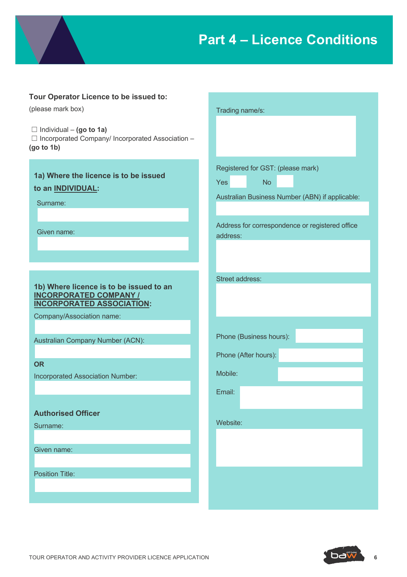

## **Tour Operator Licence to be issued to:**

(please mark box)

☐ Individual – **(go to 1a)**  $\Box$  Incorporated Company/ Incorporated Association – **(go to 1b)**

**1a) Where the licence is to be issued to an INDIVIDUAL:**

Surname:

Given name:

## **1b) Where licence is to be issued to an INCORPORATED COMPANY / INCORPORATED ASSOCIATION:**

Company/Association name:

Australian Company Number (ACN):

**OR**

Incorporated Association Number:

## **Authorised Officer**

Surname:

Given name:

Position Title:

|                        | Trading name/s:         |                                                 |
|------------------------|-------------------------|-------------------------------------------------|
|                        |                         |                                                 |
|                        |                         | Registered for GST: (please mark)               |
| Yes                    | No                      |                                                 |
|                        |                         | Australian Business Number (ABN) if applicable: |
| address:               |                         | Address for correspondence or registered office |
| <b>Street address:</b> |                         |                                                 |
|                        |                         |                                                 |
|                        | Phone (Business hours): |                                                 |
|                        | Phone (After hours):    |                                                 |
| Mobile:                |                         |                                                 |
| Email:                 |                         |                                                 |
| Website:               |                         |                                                 |
|                        |                         |                                                 |
|                        |                         |                                                 |
|                        |                         |                                                 |

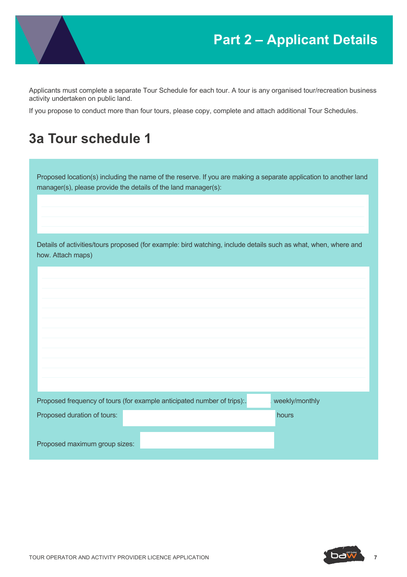

## **Part 2 – Applicant Details**

Applicants must complete a separate Tour Schedule for each tour. A tour is any organised tour/recreation business activity undertaken on public land.

If you propose to conduct more than four tours, please copy, complete and attach additional Tour Schedules.

## **3a Tour schedule 1**

Proposed location(s) including the name of the reserve. If you are making a separate application to another land manager(s), please provide the details of the land manager(s):

Details of activities/tours proposed (for example: bird watching, include details such as what, when, where and how. Attach maps)

|                               | Proposed frequency of tours (for example anticipated number of trips): | weekly/monthly |  |
|-------------------------------|------------------------------------------------------------------------|----------------|--|
| Proposed duration of tours:   |                                                                        | hours          |  |
| Proposed maximum group sizes: |                                                                        |                |  |



**7**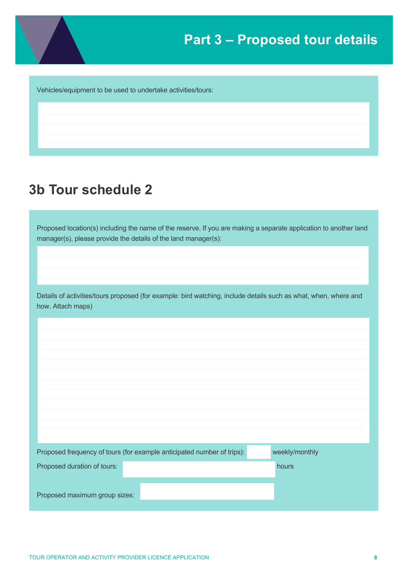

Vehicles/equipment to be used to undertake activities/tours:

## **3b Tour schedule 2**

Proposed location(s) including the name of the reserve. If you are making a separate application to another land manager(s), please provide the details of the land manager(s):

Details of activities/tours proposed (for example: bird watching, include details such as what, when, where and how. Attach maps)

|                               | Proposed frequency of tours (for example anticipated number of trips): | weekly/monthly |  |
|-------------------------------|------------------------------------------------------------------------|----------------|--|
| Proposed duration of tours:   |                                                                        | hours          |  |
| Proposed maximum group sizes: |                                                                        |                |  |
|                               |                                                                        |                |  |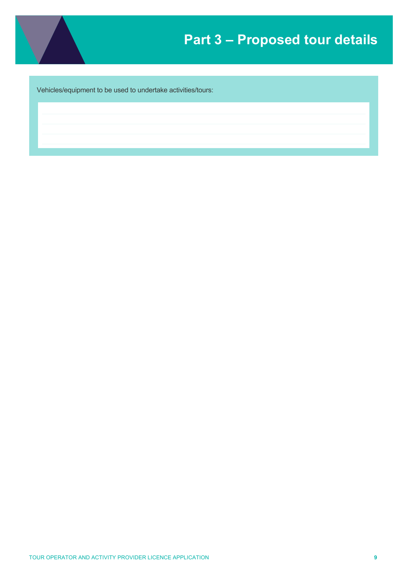

Vehicles/equipment to be used to undertake activities/tours: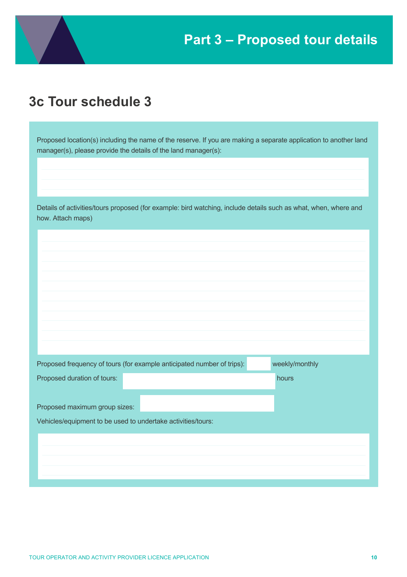## **3c Tour schedule 3**

Proposed location(s) including the name of the reserve. If you are making a separate application to another land manager(s), please provide the details of the land manager(s):

Details of activities/tours proposed (for example: bird watching, include details such as what, when, where and how. Attach maps)

|                                                              | Proposed frequency of tours (for example anticipated number of trips): | weekly/monthly |
|--------------------------------------------------------------|------------------------------------------------------------------------|----------------|
| Proposed duration of tours:                                  |                                                                        | hours          |
|                                                              |                                                                        |                |
| Proposed maximum group sizes:                                |                                                                        |                |
| Vehicles/equipment to be used to undertake activities/tours: |                                                                        |                |
|                                                              |                                                                        |                |
|                                                              |                                                                        |                |
|                                                              |                                                                        |                |
|                                                              |                                                                        |                |
|                                                              |                                                                        |                |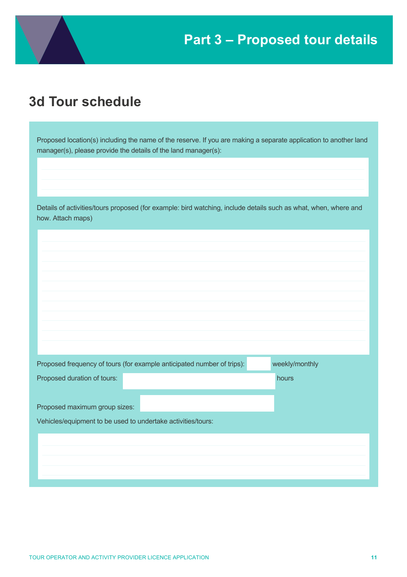

## **3d Tour schedule**

Proposed location(s) including the name of the reserve. If you are making a separate application to another land manager(s), please provide the details of the land manager(s):

Details of activities/tours proposed (for example: bird watching, include details such as what, when, where and how. Attach maps)

|                                                              | Proposed frequency of tours (for example anticipated number of trips): | weekly/monthly |
|--------------------------------------------------------------|------------------------------------------------------------------------|----------------|
| Proposed duration of tours:                                  |                                                                        | hours          |
|                                                              |                                                                        |                |
| Proposed maximum group sizes:                                |                                                                        |                |
| Vehicles/equipment to be used to undertake activities/tours: |                                                                        |                |
|                                                              |                                                                        |                |
|                                                              |                                                                        |                |
|                                                              |                                                                        |                |
|                                                              |                                                                        |                |
|                                                              |                                                                        |                |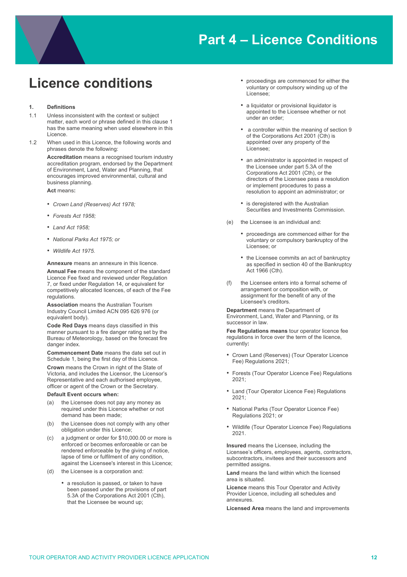

## **Licence conditions**

#### **1. Definitions**

- 1.1 Unless inconsistent with the context or subject matter, each word or phrase defined in this clause 1 has the same meaning when used elsewhere in this Licence.
- 1.2 When used in this Licence, the following words and phrases denote the following:

**Accreditation** means a recognised tourism industry accreditation program, endorsed by the Department of Environment, Land, Water and Planning, that encourages improved environmental, cultural and business planning.

**Act** means**:**

- *Crown Land (Reserves) Act 1978;*
- *Forests Act 1958;*
- *Land Act 1958;*
- *National Parks Act 1975; or*
- *Wildlife Act 1975.*

**Annexure** means an annexure in this licence.

**Annual Fee** means the component of the standard Licence Fee fixed and reviewed under Regulation 7, or fixed under Regulation 14, or equivalent for competitively allocated licences, of each of the Fee regulations.

**Association** means the Australian Tourism Industry Council Limited ACN 095 626 976 (or equivalent body).

**Code Red Days** means days classified in this manner pursuant to a fire danger rating set by the Bureau of Meteorology, based on the forecast fire danger index.

**Commencement Date** means the date set out in Schedule 1, being the first day of this Licence.

**Crown** means the Crown in right of the State of Victoria, and includes the Licensor, the Licensor's Representative and each authorised employee, officer or agent of the Crown or the Secretary.

#### **Default Event occurs when:**

- (a) the Licensee does not pay any money as required under this Licence whether or not demand has been made;
- (b) the Licensee does not comply with any other obligation under this Licence;
- (c) a judgment or order for \$10,000.00 or more is enforced or becomes enforceable or can be rendered enforceable by the giving of notice, lapse of time or fulfilment of any condition, against the Licensee's interest in this Licence;
- (d) the Licensee is a corporation and:
	- a resolution is passed, or taken to have been passed under the provisions of part 5.3A of the Corporations Act 2001 (Cth), that the Licensee be wound up;
- proceedings are commenced for either the voluntary or compulsory winding up of the Licensee;
- a liquidator or provisional liquidator is appointed to the Licensee whether or not under an order;
- a controller within the meaning of section 9 of the Corporations Act 2001 (Cth) is appointed over any property of the Licensee;
- an administrator is appointed in respect of the Licensee under part 5.3A of the Corporations Act 2001 (Cth), or the directors of the Licensee pass a resolution or implement procedures to pass a resolution to appoint an administrator; or
- is deregistered with the Australian Securities and Investments Commission.
- (e) the Licensee is an individual and:
	- proceedings are commenced either for the voluntary or compulsory bankruptcy of the Licensee; or
	- the Licensee commits an act of bankruptcy as specified in section 40 of the Bankruptcy Act 1966 (Cth).
- (f) the Licensee enters into a formal scheme of arrangement or composition with, or assignment for the benefit of any of the Licensee's creditors.

**Department** means the Department of Environment, Land, Water and Planning, or its successor in law.

**Fee Regulations means** tour operator licence fee regulations in force over the term of the licence, currently**:**

- Crown Land (Reserves) (Tour Operator Licence Fee) Regulations 2021;
- Forests (Tour Operator Licence Fee) Regulations 2021;
- Land (Tour Operator Licence Fee) Regulations 2021;
- National Parks (Tour Operator Licence Fee) Regulations 2021; or
- Wildlife (Tour Operator Licence Fee) Regulations 2021.

**Insured** means the Licensee, including the Licensee's officers, employees, agents, contractors, subcontractors, invitees and their successors and permitted assigns.

**Land** means the land within which the licensed area is situated.

**Licence** means this Tour Operator and Activity Provider Licence, including all schedules and annexures.

**Licensed Area** means the land and improvements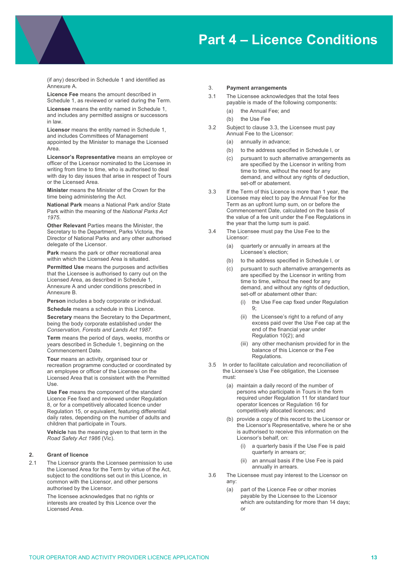(if any) described in Schedule 1 and identified as Annexure A.

**Licence Fee** means the amount described in Schedule 1, as reviewed or varied during the Term.

**Licensee** means the entity named in Schedule 1, and includes any permitted assigns or successors in law.

**Licensor** means the entity named in Schedule 1, and includes Committees of Management appointed by the Minister to manage the Licensed Area.

**Licensor's Representative** means an employee or officer of the Licensor nominated to the Licensee in writing from time to time, who is authorised to deal with day to day issues that arise in respect of Tours or the Licensed Area.

**Minister** means the Minister of the Crown for the time being administering the Act.

**National Park** means a National Park and/or State Park within the meaning of the *National Parks Act 1975*.

**Other Relevant** Parties means the Minister, the Secretary to the Department, Parks Victoria, the Director of National Parks and any other authorised delegate of the Licensor.

**Park** means the park or other recreational area within which the Licensed Area is situated.

**Permitted Use** means the purposes and activities that the Licensee is authorised to carry out on the Licensed Area, as described in Schedule 1, Annexure A and under conditions prescribed in Annexure B.

**Person** includes a body corporate or individual.

**Schedule** means a schedule in this Licence.

**Secretary** means the Secretary to the Department, being the body corporate established under the *Conservation, Forests and Lands Act 1987*.

**Term** means the period of days, weeks, months or years described in Schedule 1, beginning on the Commencement Date.

**Tour** means an activity, organised tour or recreation programme conducted or coordinated by an employee or officer of the Licensee on the Licensed Area that is consistent with the Permitted  $I$  $I$ e $\alpha$ 

**Use Fee** means the component of the standard Licence Fee fixed and reviewed under Regulation 8, or for a competitively allocated licence under Regulation 15, or equivalent, featuring differential daily rates, depending on the number of adults and children that participate in Tours.

**Vehicle** has the meaning given to that term in the *Road Safety Act 1986* (Vic).

#### **2. Grant of licence**

2.1 The Licensor grants the Licensee permission to use the Licensed Area for the Term by virtue of the Act, subject to the conditions set out in this Licence, in common with the Licensor, and other persons authorised by the Licensor.

> The licensee acknowledges that no rights or interests are created by this Licence over the Licensed Area.

#### 3. **Payment arrangements**

- 3.1 The Licensee acknowledges that the total fees payable is made of the following components:
	- (a) the Annual Fee; and
	- (b) the Use Fee
- 3.2 Subject to clause 3.3, the Licensee must pay Annual Fee to the Licensor:
	- (a) annually in advance;
	- (b) to the address specified in Schedule I, or
	- (c) pursuant to such alternative arrangements as are specified by the Licensor in writing from time to time, without the need for any demand, and without any rights of deduction, set-off or abatement.
- 3.3 If the Term of this Licence is more than 1 year, the Licensee may elect to pay the Annual Fee for the Term as an upfront lump sum, on or before the Commencement Date, calculated on the basis of the value of a fee unit under the Fee Regulations in the year that the lump sum is paid.
- 3.4 The Licensee must pay the Use Fee to the Licensor:
	- (a) quarterly or annually in arrears at the Licensee's election;
	- (b) to the address specified in Schedule I, or
	- (c) pursuant to such alternative arrangements as are specified by the Licensor in writing from time to time, without the need for any demand, and without any rights of deduction, set-off or abatement other than:
		- (i) the Use Fee cap fixed under Regulation  $9:$
		- (ii) the Licensee's right to a refund of any excess paid over the Use Fee cap at the end of the financial year under Regulation 10(2); and
		- (iii) any other mechanism provided for in the balance of this Licence or the Fee Regulations.
- 3.5 In order to facilitate calculation and reconciliation of the Licensee's Use Fee obligation, the Licensee must:
	- (a) maintain a daily record of the number of persons who participate in Tours in the form required under Regulation 11 for standard tour operator licences or Regulation 16 for competitively allocated licences; and
	- (b) provide a copy of this record to the Licensor or the Licensor's Representative, where he or she is authorised to receive this information on the Licensor's behalf, on:
		- (i) a quarterly basis if the Use Fee is paid quarterly in arrears or;
		- (ii) an annual basis if the Use Fee is paid annually in arrears.
- 3.6 The Licensee must pay interest to the Licensor on any:
	- (a) part of the Licence Fee or other monies payable by the Licensee to the Licensor which are outstanding for more than 14 days: or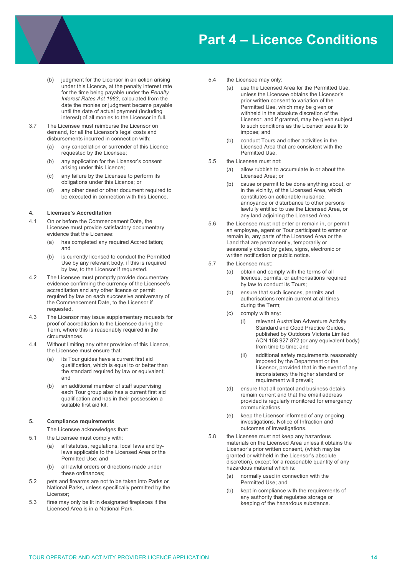- (b) judgment for the Licensor in an action arising under this Licence, at the penalty interest rate for the time being payable under the *Penalty Interest Rates Act 1983*, calculated from the date the monies or judgment became payable until the date of actual payment (including interest) of all monies to the Licensor in full.
- 3.7 The Licensee must reimburse the Licensor on demand, for all the Licensor's legal costs and disbursements incurred in connection with:
	- (a) any cancellation or surrender of this Licence requested by the Licensee;
	- (b) any application for the Licensor's consent arising under this Licence;
	- (c) any failure by the Licensee to perform its obligations under this Licence; or
	- (d) any other deed or other document required to be executed in connection with this Licence.

#### **4. Licensee's Accreditation**

- 4.1 On or before the Commencement Date, the Licensee must provide satisfactory documentary evidence that the Licensee:
	- (a) has completed any required Accreditation; and
	- (b) is currently licensed to conduct the Permitted Use by any relevant body, if this is required by law, to the Licensor if requested.
- 4.2 The Licensee must promptly provide documentary evidence confirming the currency of the Licensee's accreditation and any other licence or permit required by law on each successive anniversary of the Commencement Date, to the Licensor if requested.
- 4.3 The Licensor may issue supplementary requests for proof of accreditation to the Licensee during the Term, where this is reasonably required in the circumstances.
- 4.4 Without limiting any other provision of this Licence, the Licensee must ensure that:
	- its Tour guides have a current first aid qualification, which is equal to or better than the standard required by law or equivalent; and
	- (b) an additional member of staff supervising each Tour group also has a current first aid qualification and has in their possession a suitable first aid kit.

#### **5. Compliance requirements**

The Licensee acknowledges that:

- 5.1 the Licensee must comply with:
	- (a) all statutes, regulations, local laws and bylaws applicable to the Licensed Area or the Permitted Use; and
	- all lawful orders or directions made under these ordinances;
- 5.2 pets and firearms are not to be taken into Parks or National Parks, unless specifically permitted by the Licensor;
- 5.3 fires may only be lit in designated fireplaces if the Licensed Area is in a National Park.
- 5.4 the Licensee may only:
	- (a) use the Licensed Area for the Permitted Use, unless the Licensee obtains the Licensor's prior written consent to variation of the Permitted Use, which may be given or withheld in the absolute discretion of the Licensor, and if granted, may be given subject to such conditions as the Licensor sees fit to impose; and
	- (b) conduct Tours and other activities in the Licensed Area that are consistent with the Permitted Use.
- 5.5 the Licensee must not:
	- (a) allow rubbish to accumulate in or about the Licensed Area; or
	- (b) cause or permit to be done anything about, or in the vicinity, of the Licensed Area, which constitutes an actionable nuisance, annoyance or disturbance to other persons lawfully entitled to use the Licensed Area, or any land adjoining the Licensed Area.
- 5.6 the Licensee must not enter or remain in, or permit an employee, agent or Tour participant to enter or remain in, any parts of the Licensed Area or the Land that are permanently, temporarily or seasonally closed by gates, signs, electronic or written notification or public notice.
- 5.7 the Licensee must:
	- (a) obtain and comply with the terms of all licences, permits, or authorisations required by law to conduct its Tours;
	- (b) ensure that such licences, permits and authorisations remain current at all times during the Term;
	- (c) comply with any:
		- (i) relevant Australian Adventure Activity Standard and Good Practice Guides published by Outdoors Victoria Limited ACN 158 927 872 (or any equivalent body) from time to time; and
		- (ii) additional safety requirements reasonably imposed by the Department or the Licensor, provided that in the event of any inconsistency the higher standard or requirement will prevail;
	- (d) ensure that all contact and business details remain current and that the email address provided is regularly monitored for emergency communications.
	- (e) keep the Licensor informed of any ongoing investigations, Notice of Infraction and outcomes of investigations.
- 5.8 the Licensee must not keep any hazardous materials on the Licensed Area unless it obtains the Licensor's prior written consent, (which may be granted or withheld in the Licensor's absolute discretion), except for a reasonable quantity of any hazardous material which is:
	- normally used in connection with the Permitted Use; and
	- (b) kept in compliance with the requirements of any authority that regulates storage or keeping of the hazardous substance.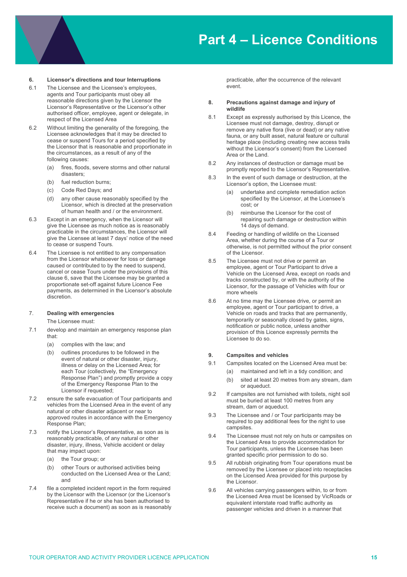#### **6. Licensor's directions and tour Interruptions**

- 6.1 The Licensee and the Licensee's employees, agents and Tour participants must obey all reasonable directions given by the Licensor the Licensor's Representative or the Licensor's other authorised officer, employee, agent or delegate, in respect of the Licensed Area
- 6.2 Without limiting the generality of the foregoing, the Licensee acknowledges that it may be directed to cease or suspend Tours for a period specified by the Licensor that is reasonable and proportionate in the circumstances, as a result of any of the following causes:
	- (a) fires, floods, severe storms and other natural disasters;
	- (b) fuel reduction burns;
	- (c) Code Red Days; and
	- (d) any other cause reasonably specified by the Licensor, which is directed at the preservation of human health and / or the environment.
- 6.3 Except in an emergency, when the Licensor will give the Licensee as much notice as is reasonably practicable in the circumstances, the Licensor will give the Licensee at least 7 days' notice of the need to cease or suspend Tours.
- 6.4 The Licensee is not entitled to any compensation from the Licensor whatsoever for loss or damage caused or contributed to by the need to suspend, cancel or cease Tours under the provisions of this clause 6, save that the Licensee may be granted a proportionate set-off against future Licence Fee payments, as determined in the Licensor's absolute discretion.

#### 7. **Dealing with emergencies**

The Licensee must:

- 7.1 develop and maintain an emergency response plan that:
	- (a) complies with the law; and
	- (b) outlines procedures to be followed in the event of natural or other disaster, injury, illness or delay on the Licensed Area; for each Tour (collectively, the "Emergency Response Plan") and promptly provide a copy of the Emergency Response Plan to the Licensor if requested;
- 7.2 ensure the safe evacuation of Tour participants and vehicles from the Licensed Area in the event of any natural or other disaster adjacent or near to approved routes in accordance with the Emergency Response Plan;
- 7.3 notify the Licensor's Representative, as soon as is reasonably practicable, of any natural or other disaster, injury, illness, Vehicle accident or delay that may impact upon:
	- (a) the Tour group; or
	- (b) other Tours or authorised activities being conducted on the Licensed Area or the Land; and
- 7.4 file a completed incident report in the form required by the Licensor with the Licensor (or the Licensor's Representative if he or she has been authorised to receive such a document) as soon as is reasonably

practicable, after the occurrence of the relevant event.

#### **8. Precautions against damage and injury of wildlife**

- 8.1 Except as expressly authorised by this Licence, the Licensee must not damage, destroy, disrupt or remove any native flora (live or dead) or any native fauna, or any built asset, natural feature or cultural heritage place (including creating new access trails without the Licensor's consent) from the Licensed Area or the Land.
- 8.2 Any instances of destruction or damage must be promptly reported to the Licensor's Representative.
- 8.3 In the event of such damage or destruction, at the Licensor's option, the Licensee must:
	- (a) undertake and complete remediation action specified by the Licensor, at the Licensee's cost; or
	- (b) reimburse the Licensor for the cost of repairing such damage or destruction within 14 days of demand.
- 8.4 Feeding or handling of wildlife on the Licensed Area, whether during the course of a Tour or otherwise, is not permitted without the prior consent of the Licensor.
- 8.5 The Licensee must not drive or permit an employee, agent or Tour Participant to drive a Vehicle on the Licensed Area, except on roads and tracks constructed by, or with the authority of the Licensor, for the passage of Vehicles with four or more wheels
- 8.6 At no time may the Licensee drive, or permit an employee, agent or Tour participant to drive, a Vehicle on roads and tracks that are permanently, temporarily or seasonally closed by gates, signs, notification or public notice, unless another provision of this Licence expressly permits the Licensee to do so.

#### **9. Campsites and vehicles**

- 9.1 Campsites located on the Licensed Area must be:
	- (a) maintained and left in a tidy condition; and
	- (b) sited at least 20 metres from any stream, dam or aqueduct.
- 9.2 If campsites are not furnished with toilets, night soil must be buried at least 100 metres from any stream, dam or aqueduct.
- 9.3 The Licensee and / or Tour participants may be required to pay additional fees for the right to use campsites.
- 9.4 The Licensee must not rely on huts or campsites on the Licensed Area to provide accommodation for Tour participants, unless the Licensee has been granted specific prior permission to do so.
- 9.5 All rubbish originating from Tour operations must be removed by the Licensee or placed into receptacles on the Licensed Area provided for this purpose by the Licensor.
- 9.6 All vehicles carrying passengers within, to or from the Licensed Area must be licensed by VicRoads or equivalent interstate road traffic authority as passenger vehicles and driven in a manner that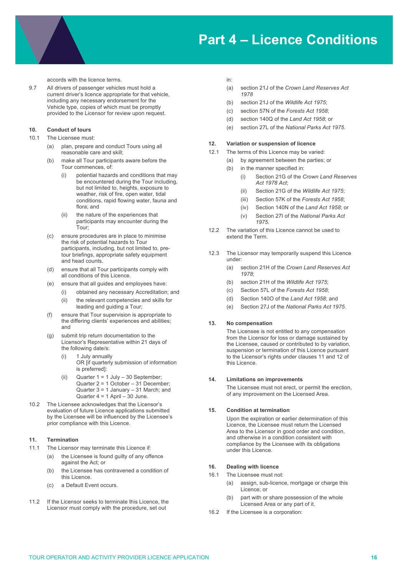accords with the licence terms.

9.7 All drivers of passenger vehicles must hold a current driver's licence appropriate for that vehicle, including any necessary endorsement for the Vehicle type, copies of which must be promptly provided to the Licensor for review upon request.

#### **10. Conduct of tours**

- 10.1 The Licensee must:
	- (a) plan, prepare and conduct Tours using all reasonable care and skill;
	- (b) make all Tour participants aware before the Tour commences, of:
		- (i) potential hazards and conditions that may be encountered during the Tour including, but not limited to, heights, exposure to weather, risk of fire, open water, tidal conditions, rapid flowing water, fauna and flora; and
		- (ii) the nature of the experiences that participants may encounter during the Tour;
	- (c) ensure procedures are in place to minimise the risk of potential hazards to Tour participants, including, but not limited to, pretour briefings, appropriate safety equipment and head counts.
	- (d) ensure that all Tour participants comply with all conditions of this Licence.
	- (e) ensure that all guides and employees have:
		- (i) obtained any necessary Accreditation; and
		- (ii) the relevant competencies and skills for leading and guiding a Tour;
	- (f) ensure that Tour supervision is appropriate to the differing clients' experiences and abilities; and
	- (g) submit trip return documentation to the Licensor's Representative within 21 days of the following date/s:
		- (i) 1 July annually OR [if quarterly submission of information is preferred]:
		- (ii) Quarter  $1 = 1$  July  $-30$  September; Quarter 2 = 1 October – 31 December; Quarter 3 = 1 January – 31 March; and Quarter  $4 = 1$  April – 30 June.
- 10.2 The Licensee acknowledges that the Licensor's evaluation of future Licence applications submitted by the Licensee will be influenced by the Licensee's prior compliance with this Licence.

#### **11. Termination**

- 11.1 The Licensor may terminate this Licence if:
	- (a) the Licensee is found guilty of any offence against the Act; or
	- (b) the Licensee has contravened a condition of this Licence.
	- (c) a Default Event occurs.
- 11.2 If the Licensor seeks to terminate this Licence, the Licensor must comply with the procedure, set out

in:

- (a) section 21J of the *Crown Land Reserves Act 1978*
- (b) section 21J of the *Wildlife Act 1975*;
- (c) section 57N of the *Forests Act 1958*;
- (d) section 140Q of the *Land Act 1958*; or
- (e) section 27L of the *National Parks Act 1975*.

#### **12. Variation or suspension of licence**

- 12.1 The terms of this Licence may be varied:
	- (a) by agreement between the parties; or
	- (b) in the manner specified in:
		- (i) Section 21G of the *Crown Land Reserves Act 1978 Act*;
		- (ii) Section 21G of the *Wildlife Act 1975*;
		- (iii) Section 57K of the *Forests Act 1958*;
		- (iv) Section 140N of the *Land Act 1958*; or
		- (v) Section 27I of the *National Parks Act 1975.*
- 12.2 The variation of this Licence cannot be used to extend the Term.
- 12.3 The Licensor may temporarily suspend this Licence under:
	- (a) section 21H of the *Crown Land Reserves Act 1978*;
	- (b) section 21H of the *Wildlife Act 1975*;
	- (c) Section 57L of the *Forests Act 1958*;
	- (d) Section 140O of the *Land Act 1958*; and
	- (e) Section 27J of the *National Parks Act 1975*.

#### **13. No compensation**

The Licensee is not entitled to any compensation from the Licensor for loss or damage sustained by the Licensee, caused or contributed to by variation, suspension or termination of this Licence pursuant to the Licensor's rights under clauses 11 and 12 of this Licence.

#### **14. Limitations on improvements**

The Licensee must not erect, or permit the erection, of any improvement on the Licensed Area.

#### **15. Condition at termination**

Upon the expiration or earlier determination of this Licence, the Licensee must return the Licensed Area to the Licensor in good order and condition, and otherwise in a condition consistent with compliance by the Licensee with its obligations under this Licence.

#### **16. Dealing with licence**

- 16.1 The Licensee must not:
	- (a) assign, sub-licence, mortgage or charge this Licence; or
	- part with or share possession of the whole Licensed Area or any part of it.
- 16.2 If the Licensee is a corporation: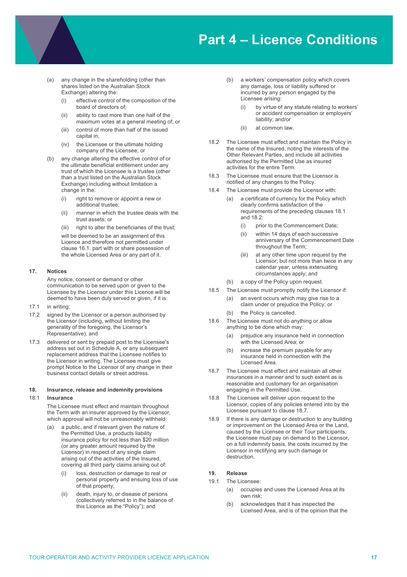- (a) any change in the shareholding (other than shares listed on the Australian Stock Exchange) altering the:
	- (i) effective control of the composition of the board of directors of;
	- (ii) ability to cast more than one half of the maximum votes at a general meeting of; or
	- (iii) control of more than half of the issued capital in,
	- (iv) the Licensee or the ultimate holding company of the Licensee; or
- (b) any change altering the effective control of or the ultimate beneficial entitlement under any trust of which the Licensee is a trustee (other than a trust listed on the Australian Stock Exchange) including without limitation a change in the:
	- (i) right to remove or appoint a new or additional trustee;
	- (ii) manner in which the trustee deals with the trust assets; or
	- (iii) right to alter the beneficiaries of the trust;

will be deemed to be an assignment of this Licence and therefore not permitted under clause 16.1. part with or share possession of the whole Licensed Area or any part of it.

#### **17. Notices**

Any notice, consent or demand or other communication to be served upon or given to the Licensee by the Licensor under this Licence will be deemed to have been duly served or given, if it is:

- 17.1 in writing;
- 17.2 signed by the Licensor or a person authorised by the Licensor (including, without limiting the generality of the foregoing, the Licensor's Representative); and
- 17.3 delivered or sent by prepaid post to the Licensee's address set out in Schedule A, or any subsequent replacement address that the Licensee notifies to the Licensor in writing. The Licensee must give prompt Notice to the Licensor of any change in their business contact details or street address.

#### **18. Insurance, release and indemnity provisions**

#### 18.1 **Insurance**

The Licensee must effect and maintain throughout the Term with an insurer approved by the Licensor, which approval will not be unreasonably withheld:

- (a) a public, and if relevant given the nature of the Permitted Use, a products liability insurance policy for not less than \$20 million (or any greater amount required by the Licensor) in respect of any single claim arising out of the activities of the Insured, covering all third party claims arising out of:
	- (i) loss, destruction or damage to real or personal property and ensuing loss of use of that property;
	- (ii) death, injury to, or disease of persons (collectively referred to in the balance of this Licence as the "Policy"); and
- (b) a workers' compensation policy which covers any damage, loss or liability suffered or incurred by any person engaged by the Licensee arising:
	- (i) by virtue of any statute relating to workers' or accident compensation or employers' liability; and/or
	- (ii) at common law.
- 18.2 The Licensee must effect and maintain the Policy in the name of the Insured, noting the interests of the Other Relevant Parties, and include all activities authorised by the Permitted Use as insured activities for the entire Term.
- 18.3 The Licensee must ensure that the Licensor is notified of any changes to the Policy.
- 18.4 The Licensee must provide the Licensor with:
	- (a) a certificate of currency for the Policy which clearly confirms satisfaction of the requirements of the preceding clauses 18.1 and  $18.2$ 
		- (i) prior to the Commencement Date;
		- (ii) within 14 days of each successive anniversary of the Commencement Date throughout the Term;
		- (iii) at any other time upon request by the Licensor; but not more than twice in any calendar year, unless extenuating circumstances apply; and
	- (b) a copy of the Policy upon request.
- 18.5 The Licensee must promptly notify the Licensor if:
	- (a) an event occurs which may give rise to a claim under or prejudice the Policy; or
	- (b) the Policy is cancelled.
- 18.6 The Licensee must not do anything or allow anything to be done which may:
	- (a) prejudice any insurance held in connection with the Licensed Area; or
	- (b) increase the premium payable for any insurance held in connection with the Licensed Area.
- 18.7 The Licensee must effect and maintain all other insurances in a manner and to such extent as is reasonable and customary for an organisation engaging in the Permitted Use.
- 18.8 The Licensee will deliver upon request to the Licensor, copies of any policies entered into by the Licensee pursuant to clause 18.7.
- 18.9 If there is any damage or destruction to any building or improvement on the Licensed Area or the Land, caused by the Licensee or their Tour participants, the Licensee must pay on demand to the Licensor, on a full indemnity basis, the costs incurred by the Licensor in rectifying any such damage or destruction.

#### **19. Release**

- 19.1 The Licensee:
	- (a) occupies and uses the Licensed Area at its own risk;
	- (b) acknowledges that it has inspected the Licensed Area, and is of the opinion that the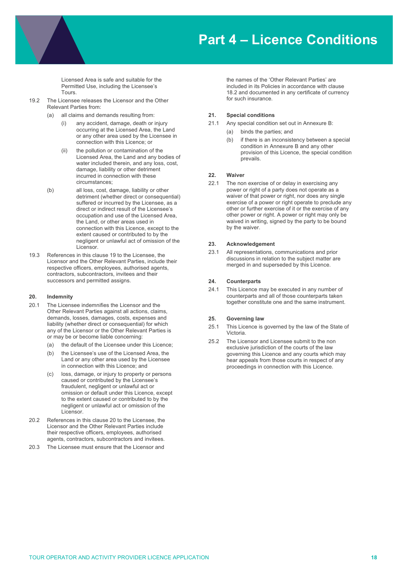Licensed Area is safe and suitable for the Permitted Use, including the Licensee's Tours.

- 19.2 The Licensee releases the Licensor and the Other Relevant Parties from:
	- all claims and demands resulting from:
		- (i) any accident, damage, death or injury occurring at the Licensed Area, the Land or any other area used by the Licensee in connection with this Licence; or
		- (ii) the pollution or contamination of the Licensed Area, the Land and any bodies of water included therein, and any loss, cost, damage, liability or other detriment incurred in connection with these circumstances;
	- (b) all loss, cost, damage, liability or other detriment (whether direct or consequential) suffered or incurred by the Licensee, as a direct or indirect result of the Licensee's occupation and use of the Licensed Area, the Land, or other areas used in connection with this Licence, except to the extent caused or contributed to by the negligent or unlawful act of omission of the Licensor.
- 19.3 References in this clause 19 to the Licensee, the Licensor and the Other Relevant Parties, include their respective officers, employees, authorised agents, contractors, subcontractors, invitees and their successors and permitted assigns.

#### **20. Indemnity**

- 20.1 The Licensee indemnifies the Licensor and the Other Relevant Parties against all actions, claims, demands, losses, damages, costs, expenses and liability (whether direct or consequential) for which any of the Licensor or the Other Relevant Parties is or may be or become liable concerning:
	- (a) the default of the Licensee under this Licence;
	- (b) the Licensee's use of the Licensed Area, the Land or any other area used by the Licensee in connection with this Licence; and
	- loss, damage, or injury to property or persons caused or contributed by the Licensee's fraudulent, negligent or unlawful act or omission or default under this Licence, except to the extent caused or contributed to by the negligent or unlawful act or omission of the Licensor.
- 20.2 References in this clause 20 to the Licensee, the Licensor and the Other Relevant Parties include their respective officers, employees, authorised agents, contractors, subcontractors and invitees.
- 20.3 The Licensee must ensure that the Licensor and

the names of the 'Other Relevant Parties' are included in its Policies in accordance with clause 18.2 and documented in any certificate of currency for such insurance.

#### **21. Special conditions**

- 21.1 Any special condition set out in Annexure B:
	- (a) binds the parties; and
	- (b) if there is an inconsistency between a special condition in Annexure B and any other provision of this Licence, the special condition prevails.

#### **22. Waiver**

22.1 The non exercise of or delay in exercising any power or right of a party does not operate as a waiver of that power or right, nor does any single exercise of a power or right operate to preclude any other or further exercise of it or the exercise of any other power or right. A power or right may only be waived in writing, signed by the party to be bound by the waiver.

#### **23. Acknowledgement**

23.1 All representations, communications and prior discussions in relation to the subject matter are merged in and superseded by this Licence.

#### **24. Counterparts**

24.1 This Licence may be executed in any number of counterparts and all of those counterparts taken together constitute one and the same instrument.

#### **25. Governing law**

- 25.1 This Licence is governed by the law of the State of Victoria.
- 25.2 The Licensor and Licensee submit to the non exclusive jurisdiction of the courts of the law governing this Licence and any courts which may hear appeals from those courts in respect of any proceedings in connection with this Licence.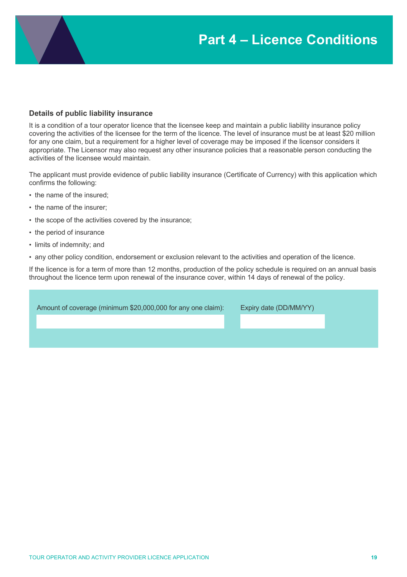### **Details of public liability insurance**

It is a condition of a tour operator licence that the licensee keep and maintain a public liability insurance policy covering the activities of the licensee for the term of the licence. The level of insurance must be at least \$20 million for any one claim, but a requirement for a higher level of coverage may be imposed if the licensor considers it appropriate. The Licensor may also request any other insurance policies that a reasonable person conducting the activities of the licensee would maintain.

The applicant must provide evidence of public liability insurance (Certificate of Currency) with this application which confirms the following:

- the name of the insured;
- the name of the insurer;
- the scope of the activities covered by the insurance;
- the period of insurance
- limits of indemnity; and
- any other policy condition, endorsement or exclusion relevant to the activities and operation of the licence.

If the licence is for a term of more than 12 months, production of the policy schedule is required on an annual basis throughout the licence term upon renewal of the insurance cover, within 14 days of renewal of the policy.

Amount of coverage (minimum \$20,000,000 for any one claim): Expiry date (DD/MM/YY)